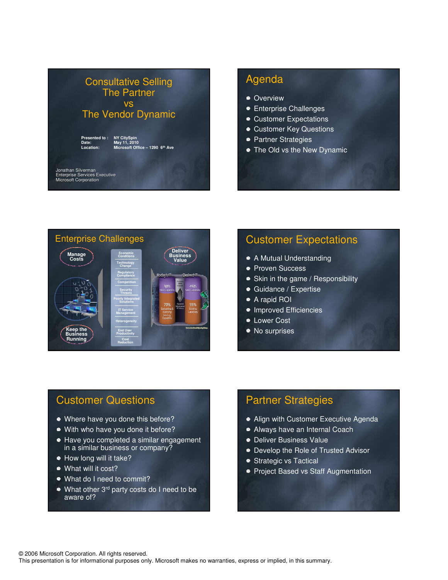

### Agenda

- Overview
- **Enterprise Challenges**
- Customer Expectations
- **Customer Key Questions**
- Partner Strategies
- The Old vs the New Dynamic



# Customer Expectations

- A Mutual Understanding
- **Proven Success**
- Skin in the game / Responsibility
- Guidance / Expertise
- A rapid ROI
- Improved Efficiencies
- **Lower Cost**
- No surprises

## Customer Questions

- Where have you done this before?
- With who have you done it before?
- Have you completed a similar engagement in a similar business or company?
- How long will it take?
- What will it cost?
- What do I need to commit?
- What other 3<sup>rd</sup> party costs do I need to be aware of?

## Partner Strategies

- Align with Customer Executive Agenda
- Always have an Internal Coach
- **Deliver Business Value**
- **Develop the Role of Trusted Advisor**
- Strategic vs Tactical
- **Project Based vs Staff Augmentation**